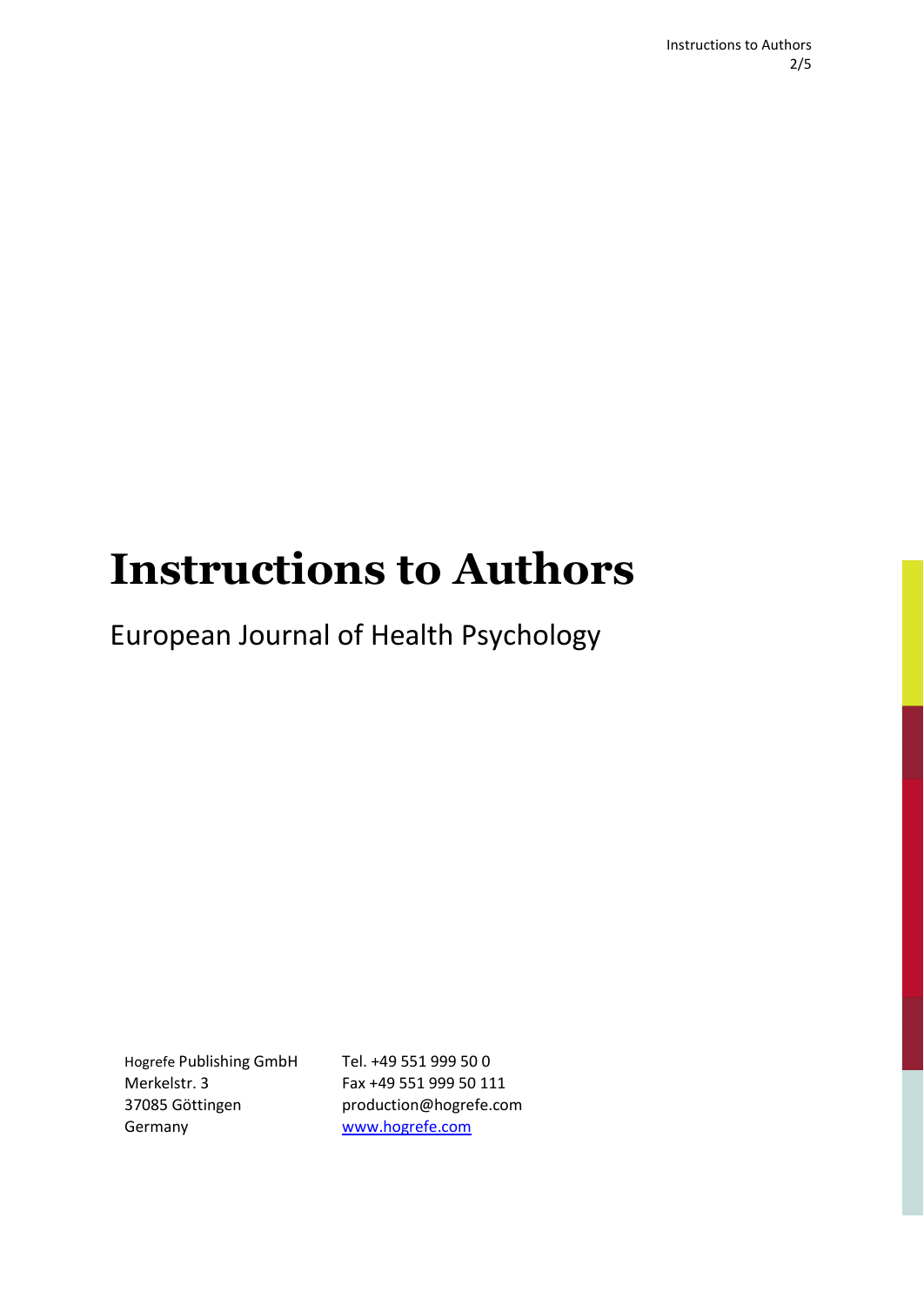# **Instructions to Authors**

European Journal of Health Psychology

Hogrefe Publishing GmbH Merkelstr. 3 37085 Göttingen Germany

Tel. +49 551 999 50 0 Fax +49 551 999 50 111 production@hogrefe.com www.hogrefe.com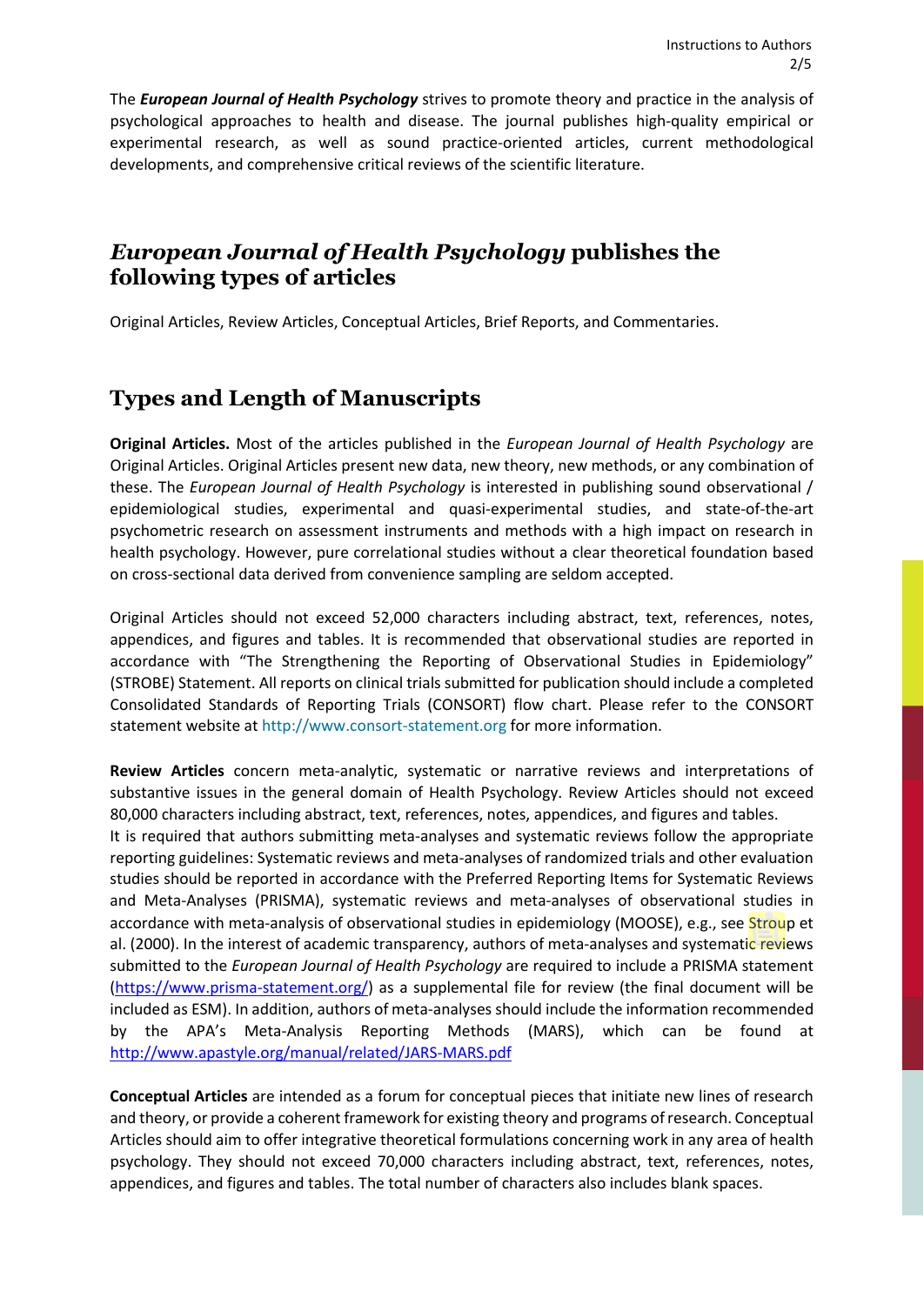The *European Journal of Health Psychology* strives to promote theory and practice in the analysis of psychological approaches to health and disease. The journal publishes high-quality empirical or experimental research, as well as sound practice-oriented articles, current methodological developments, and comprehensive critical reviews of the scientific literature.

## *European Journal of Health Psychology* **publishes the following types of articles**

Original Articles, Review Articles, Conceptual Articles, Brief Reports, and Commentaries.

# **Types and Length of Manuscripts**

**Original Articles.** Most of the articles published in the *European Journal of Health Psychology* are Original Articles. Original Articles present new data, new theory, new methods, or any combination of these. The *European Journal of Health Psychology* is interested in publishing sound observational / epidemiological studies, experimental and quasi-experimental studies, and state-of-the-art psychometric research on assessment instruments and methods with a high impact on research in health psychology. However, pure correlational studies without a clear theoretical foundation based on cross-sectional data derived from convenience sampling are seldom accepted.

Original Articles should not exceed 52,000 characters including abstract, text, references, notes, appendices, and figures and tables. It is recommended that observational studies are reported in accordance with "The Strengthening the Reporting of Observational Studies in Epidemiology" (STROBE) Statement. All reports on clinical trials submitted for publication should include a completed Consolidated Standards of Reporting Trials (CONSORT) flow chart. Please refer to the CONSORT statement website at [http://www.consort-statement.org](http://www.consort-statement.org/) for more information.

**Review Articles** concern meta-analytic, systematic or narrative reviews and interpretations of substantive issues in the general domain of Health Psychology. Review Articles should not exceed 80,000 characters including abstract, text, references, notes, appendices, and figures and tables. It is required that authors submitting meta-analyses and systematic reviews follow the appropriate reporting guidelines: Systematic reviews and meta-analyses of randomized trials and other evaluation studies should be reported in accordance with the Preferred Reporting Items for Systematic Reviews and Meta-Analyses (PRISMA), systematic reviews and meta-analyses of observational studies in accordance with meta-analysis of observational studies in epidemiology (MOOSE), e.g., see Stroup et al. (2000). In the interest of academic transparency, authors of meta-analyses and systematic reviews submitted to the *European Journal of Health Psychology* are required to include a PRISMA statement [\(https://www.prisma-statement.org/\)](https://www.prisma-statement.org/) as a supplemental file for review (the final document will be included as ESM). In addition, authors of meta-analyses should include the information recommended by the APA's Meta-Analysis Reporting Methods (MARS), which can be found at <http://www.apastyle.org/manual/related/JARS-MARS.pdf>

**Conceptual Articles** are intended as a forum for conceptual pieces that initiate new lines of research and theory, or provide a coherent framework for existing theory and programs ofresearch. Conceptual Articles should aim to offer integrative theoretical formulations concerning work in any area of health psychology. They should not exceed 70,000 characters including abstract, text, references, notes, appendices, and figures and tables. The total number of characters also includes blank spaces.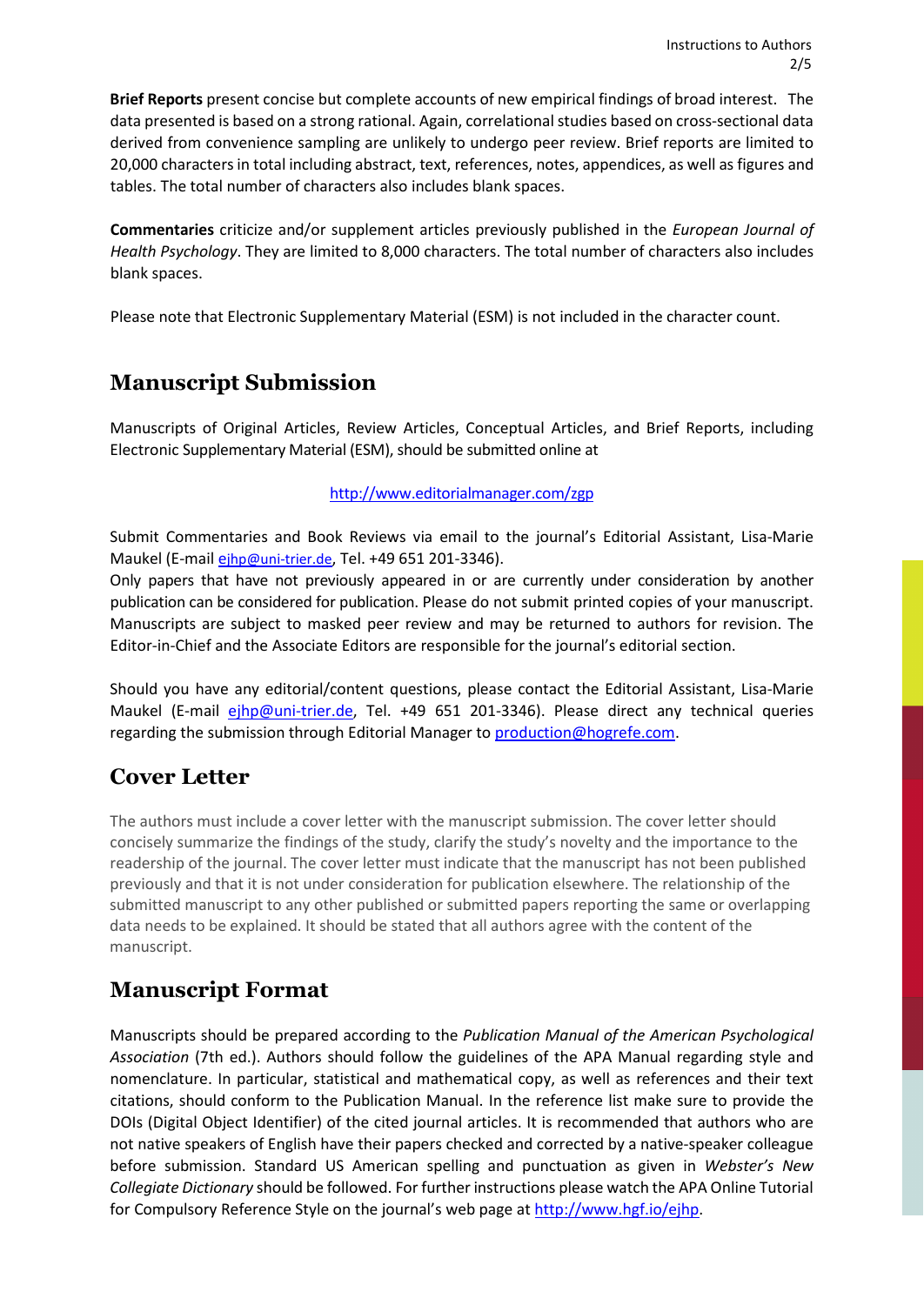**Brief Reports** present concise but complete accounts of new empirical findings of broad interest. The data presented is based on a strong rational. Again, correlational studies based on cross-sectional data derived from convenience sampling are unlikely to undergo peer review. Brief reports are limited to 20,000 charactersin total including abstract, text, references, notes, appendices, as well as figures and tables. The total number of characters also includes blank spaces.

**Commentaries** criticize and/or supplement articles previously published in the *European Journal of Health Psychology*. They are limited to 8,000 characters. The total number of characters also includes blank spaces.

Please note that Electronic Supplementary Material (ESM) is not included in the character count.

# **Manuscript Submission**

Manuscripts of Original Articles, Review Articles, Conceptual Articles, and Brief Reports, including Electronic Supplementary Material (ESM), should be submitted online at

### <http://www.editorialmanager.com/zgp>

Submit Commentaries and Book Reviews via email to the journal's Editorial Assistant, Lisa-Marie Maukel (E-mail [ejhp@uni-trier.de,](mailto:ejhp@uni-trier.de) Tel. +49 651 201-3346).

Only papers that have not previously appeared in or are currently under consideration by another publication can be considered for publication. Please do not submit printed copies of your manuscript. Manuscripts are subject to masked peer review and may be returned to authors for revision. The Editor-in-Chief and the Associate Editors are responsible for the journal's editorial section.

Should you have any editorial/content questions, please contact the Editorial Assistant, Lisa-Marie Maukel (E-mail *ejhp@uni-trier.de*, Tel. +49 651 201-3346). Please direct any technical queries regarding the submission through Editorial Manager to [production@hogrefe.com.](mailto:production@hogrefe.com)

# **Cover Letter**

The authors must include a cover letter with the manuscript submission. The cover letter should concisely summarize the findings of the study, clarify the study's novelty and the importance to the readership of the journal. The cover letter must indicate that the manuscript has not been published previously and that it is not under consideration for publication elsewhere. The relationship of the submitted manuscript to any other published or submitted papers reporting the same or overlapping data needs to be explained. It should be stated that all authors agree with the content of the manuscript.

# **Manuscript Format**

Manuscripts should be prepared according to the *Publication Manual of the American Psychological Association* (7th ed.). Authors should follow the guidelines of the APA Manual regarding style and nomenclature. In particular, statistical and mathematical copy, as well as references and their text citations, should conform to the Publication Manual. In the reference list make sure to provide the DOIs (Digital Object Identifier) of the cited journal articles. It is recommended that authors who are not native speakers of English have their papers checked and corrected by a native-speaker colleague before submission. Standard US American spelling and punctuation as given in *Webster's New Collegiate Dictionary* should be followed. For further instructions please watch the APA Online Tutorial for Compulsory Reference Style on the journal's web page at [http://www.hgf.io/ejhp.](http://www.hgf.io/ejhp)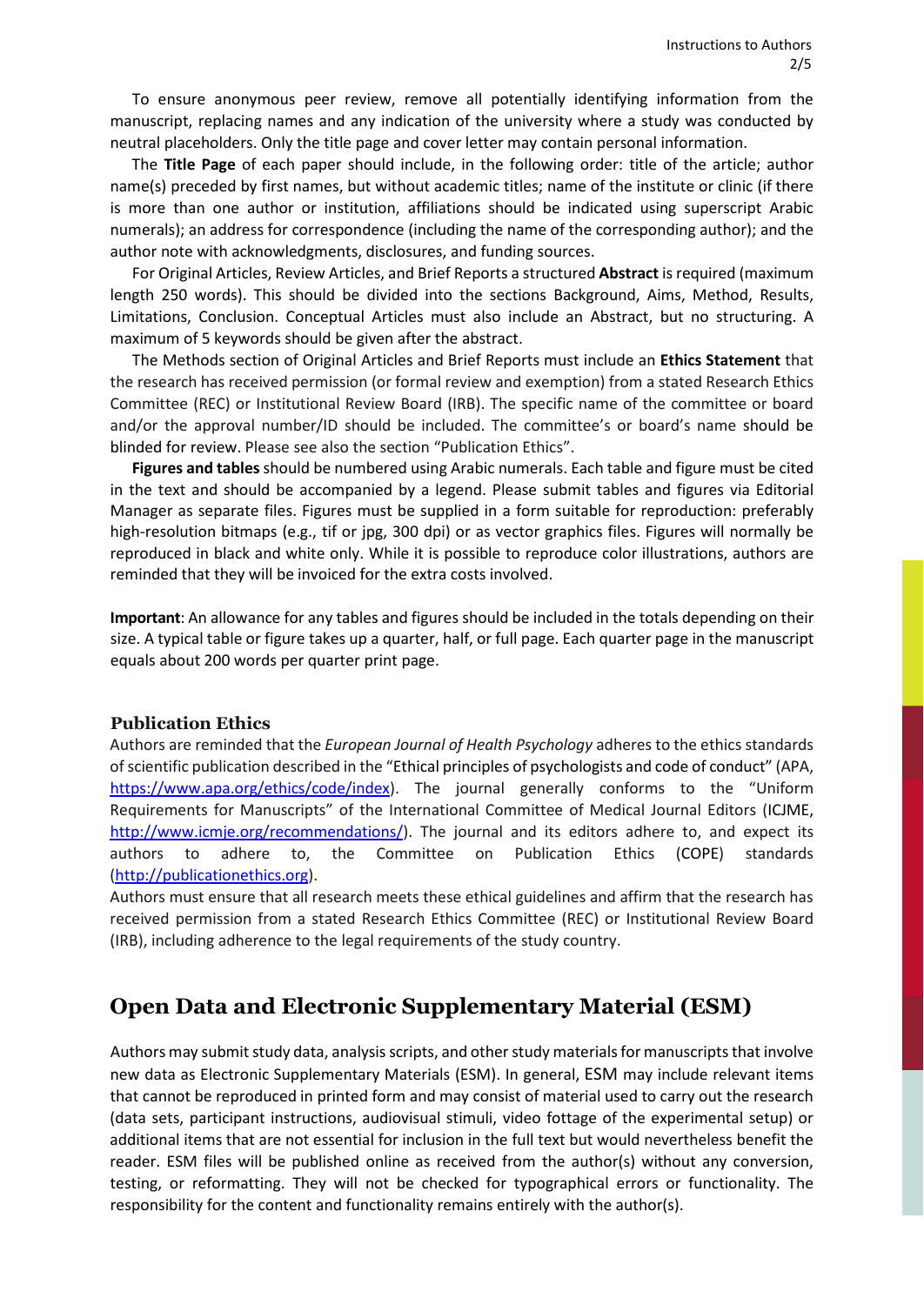To ensure anonymous peer review, remove all potentially identifying information from the manuscript, replacing names and any indication of the university where a study was conducted by neutral placeholders. Only the title page and cover letter may contain personal information.

The **Title Page** of each paper should include, in the following order: title of the article; author name(s) preceded by first names, but without academic titles; name of the institute or clinic (if there is more than one author or institution, affiliations should be indicated using superscript Arabic numerals); an address for correspondence (including the name of the corresponding author); and the author note with acknowledgments, disclosures, and funding sources.

For Original Articles, Review Articles, and Brief Reports a structured **Abstract** is required (maximum length 250 words). This should be divided into the sections Background, Aims, Method, Results, Limitations, Conclusion. Conceptual Articles must also include an Abstract, but no structuring. A maximum of 5 keywords should be given after the abstract.

The Methods section of Original Articles and Brief Reports must include an **Ethics Statement** that the research has received permission (or formal review and exemption) from a stated Research Ethics Committee (REC) or Institutional Review Board (IRB). The specific name of the committee or board and/or the approval number/ID should be included. The committee's or board's name should be blinded for review. Please see also the section "Publication Ethics".

**Figures and tables**should be numbered using Arabic numerals. Each table and figure must be cited in the text and should be accompanied by a legend. Please submit tables and figures via Editorial Manager as separate files. Figures must be supplied in a form suitable for reproduction: preferably high-resolution bitmaps (e.g., tif or jpg, 300 dpi) or as vector graphics files. Figures will normally be reproduced in black and white only. While it is possible to reproduce color illustrations, authors are reminded that they will be invoiced for the extra costs involved.

**Important**: An allowance for any tables and figures should be included in the totals depending on their size. A typical table or figure takes up a quarter, half, or full page. Each quarter page in the manuscript equals about 200 words per quarter print page.

#### **Publication Ethics**

Authors are reminded that the *European Journal of Health Psychology* adheres to the ethics standards ofscientific publication described in the "Ethical principles of psychologists and code of conduct" (APA, [https://www.apa.org/ethics/code/index\)](https://www.apa.org/ethics/code/index). The journal generally conforms to the "Uniform Requirements for Manuscripts" of the International Committee of Medical Journal Editors [\(ICJME,](http://www.icmje.org/urm_main.html) [http://www.icmje.org/recommendations/\)](http://www.icmje.org/recommendations/). The journal and its editors adhere to, and expect its authors to adhere to, the Committee on Publication Ethics [\(COPE\)](http://www.publicationethics.org/resources/code-conduct) standards [\(http://publicationethics.org\)](http://publicationethics.org/).

Authors must ensure that all research meets these ethical guidelines and affirm that the research has received permission from a stated Research Ethics Committee (REC) or Institutional Review Board (IRB), including adherence to the legal requirements of the study country.

## **Open Data and Electronic Supplementary Material (ESM)**

Authors may submit study data, analysis scripts, and other study materials for manuscripts that involve new data as Electronic Supplementary Materials (ESM). In general, ESM may include relevant items that cannot be reproduced in printed form and may consist of material used to carry out the research (data sets, participant instructions, audiovisual stimuli, video fottage of the experimental setup) or additional items that are not essential for inclusion in the full text but would nevertheless benefit the reader. ESM files will be published online as received from the author(s) without any conversion, testing, or reformatting. They will not be checked for typographical errors or functionality. The responsibility for the content and functionality remains entirely with the author(s).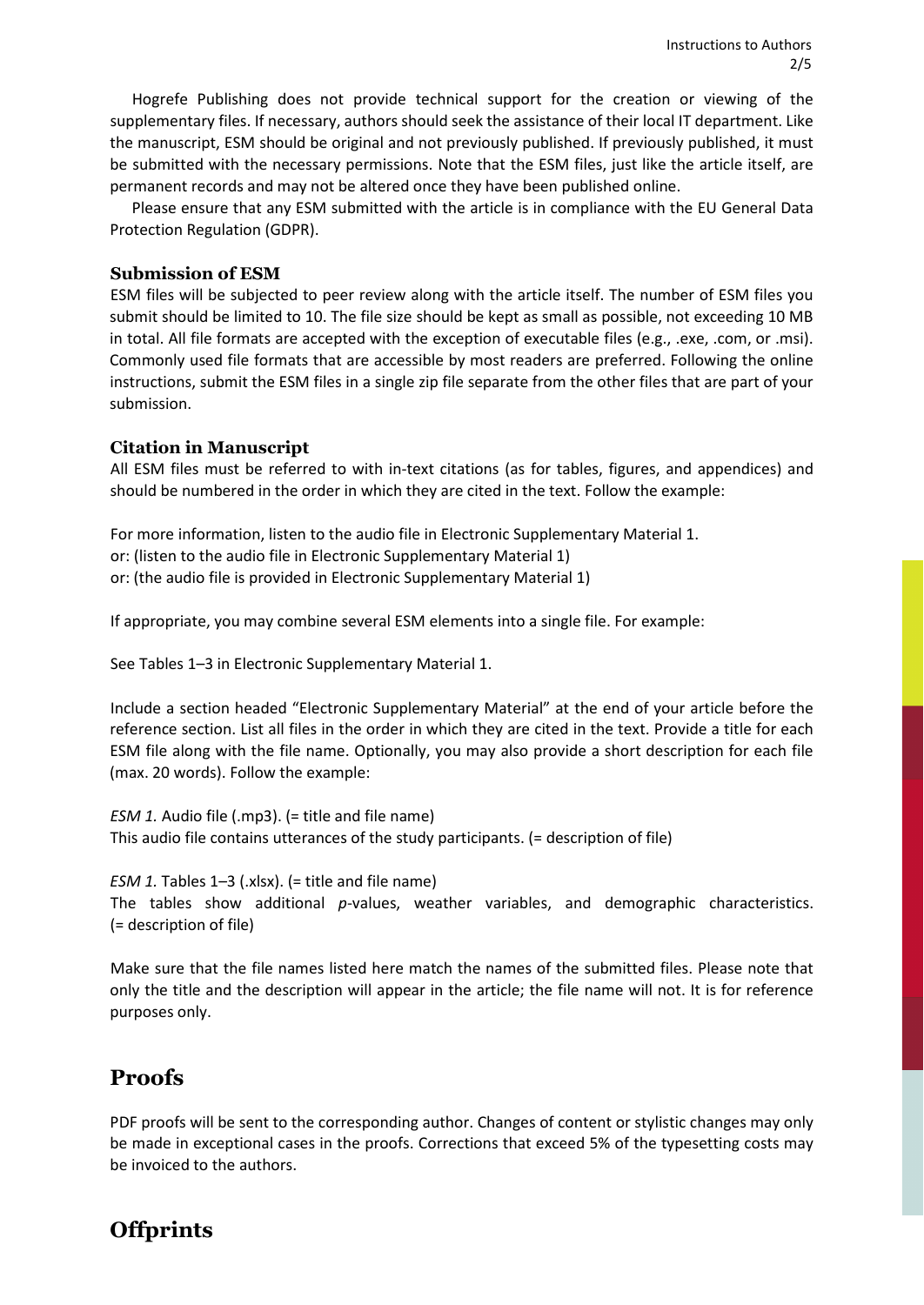Hogrefe Publishing does not provide technical support for the creation or viewing of the supplementary files. If necessary, authors should seek the assistance of their local IT department. Like the manuscript, ESM should be original and not previously published. If previously published, it must be submitted with the necessary permissions. Note that the ESM files, just like the article itself, are permanent records and may not be altered once they have been published online.

Please ensure that any ESM submitted with the article is in compliance with the EU General Data Protection Regulation (GDPR).

#### **Submission of ESM**

ESM files will be subjected to peer review along with the article itself. The number of ESM files you submit should be limited to 10. The file size should be kept as small as possible, not exceeding 10 MB in total. All file formats are accepted with the exception of executable files (e.g., .exe, .com, or .msi). Commonly used file formats that are accessible by most readers are preferred. Following the online instructions, submit the ESM files in a single zip file separate from the other files that are part of your submission.

#### **Citation in Manuscript**

All ESM files must be referred to with in-text citations (as for tables, figures, and appendices) and should be numbered in the order in which they are cited in the text. Follow the example:

For more information, listen to the audio file in Electronic Supplementary Material 1. or: (listen to the audio file in Electronic Supplementary Material 1) or: (the audio file is provided in Electronic Supplementary Material 1)

If appropriate, you may combine several ESM elements into a single file. For example:

See Tables 1–3 in Electronic Supplementary Material 1.

Include a section headed "Electronic Supplementary Material" at the end of your article before the reference section. List all files in the order in which they are cited in the text. Provide a title for each ESM file along with the file name. Optionally, you may also provide a short description for each file (max. 20 words). Follow the example:

*ESM 1.* Audio file (.mp3). (= title and file name) This audio file contains utterances of the study participants. (= description of file)

*ESM 1.* Tables 1–3 (.xlsx). (= title and file name) The tables show additional *p*-values, weather variables, and demographic characteristics. (= description of file)

Make sure that the file names listed here match the names of the submitted files. Please note that only the title and the description will appear in the article; the file name will not. It is for reference purposes only.

## **Proofs**

PDF proofs will be sent to the corresponding author. Changes of content or stylistic changes may only be made in exceptional cases in the proofs. Corrections that exceed 5% of the typesetting costs may be invoiced to the authors.

# **Offprints**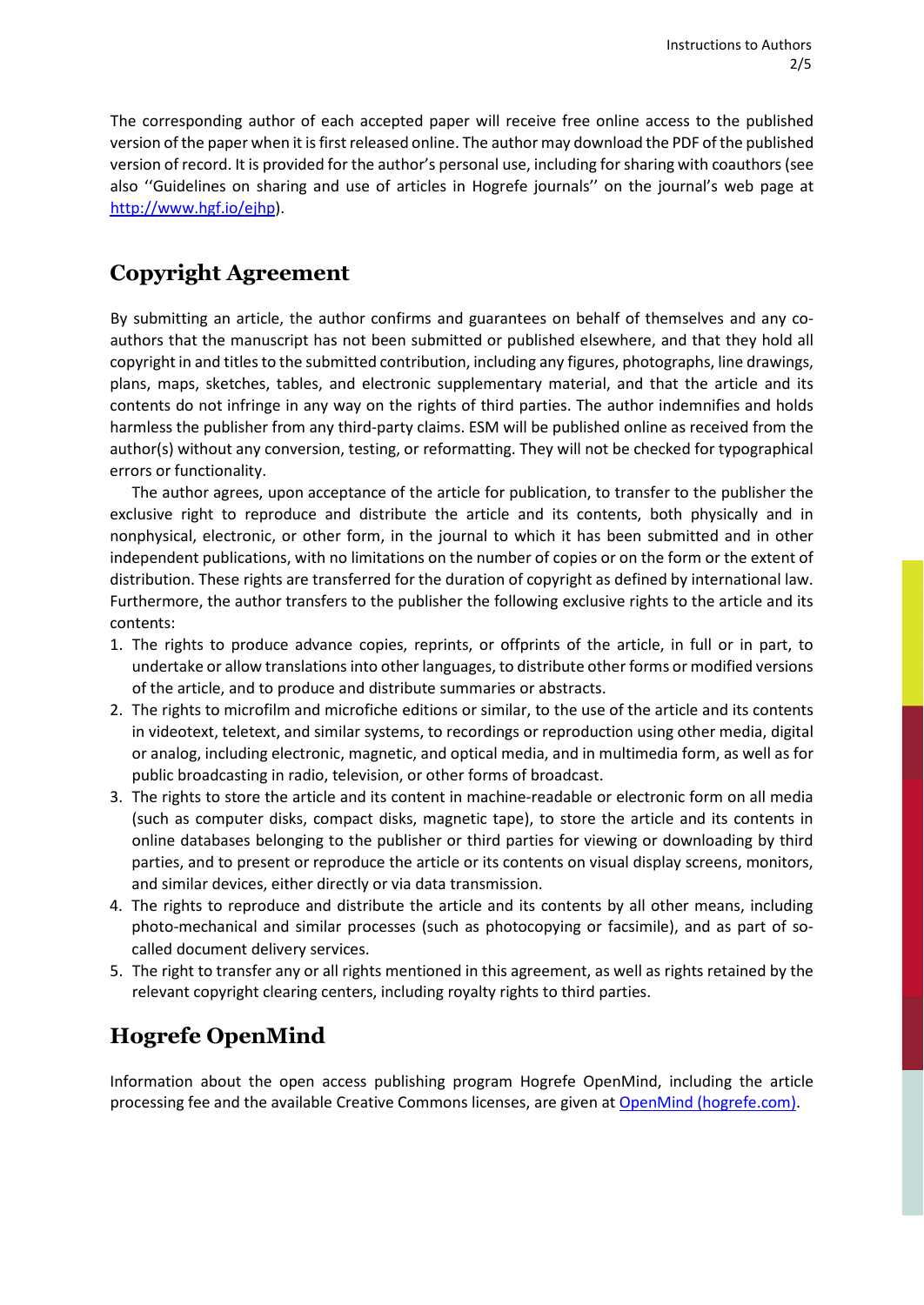The corresponding author of each accepted paper will receive free online access to the published version of the paper when it isfirst released online. The author may download the PDF of the published version of record. It is provided for the author's personal use, including forsharing with coauthors (see also ''Guidelines on sharing and use of articles in Hogrefe journals'' on the journal's web page at [http://www.hgf.io/ejhp\)](http://www.hgf.io/ejhp).

# **Copyright Agreement**

By submitting an article, the author confirms and guarantees on behalf of themselves and any coauthors that the manuscript has not been submitted or published elsewhere, and that they hold all copyright in and titles to the submitted contribution, including any figures, photographs, line drawings, plans, maps, sketches, tables, and electronic supplementary material, and that the article and its contents do not infringe in any way on the rights of third parties. The author indemnifies and holds harmless the publisher from any third-party claims. ESM will be published online as received from the author(s) without any conversion, testing, or reformatting. They will not be checked for typographical errors or functionality.

The author agrees, upon acceptance of the article for publication, to transfer to the publisher the exclusive right to reproduce and distribute the article and its contents, both physically and in nonphysical, electronic, or other form, in the journal to which it has been submitted and in other independent publications, with no limitations on the number of copies or on the form or the extent of distribution. These rights are transferred for the duration of copyright as defined by international law. Furthermore, the author transfers to the publisher the following exclusive rights to the article and its contents:

- 1. The rights to produce advance copies, reprints, or offprints of the article, in full or in part, to undertake or allow translations into other languages, to distribute other forms or modified versions of the article, and to produce and distribute summaries or abstracts.
- 2. The rights to microfilm and microfiche editions or similar, to the use of the article and its contents in videotext, teletext, and similar systems, to recordings or reproduction using other media, digital or analog, including electronic, magnetic, and optical media, and in multimedia form, as well as for public broadcasting in radio, television, or other forms of broadcast.
- 3. The rights to store the article and its content in machine-readable or electronic form on all media (such as computer disks, compact disks, magnetic tape), to store the article and its contents in online databases belonging to the publisher or third parties for viewing or downloading by third parties, and to present or reproduce the article or its contents on visual display screens, monitors, and similar devices, either directly or via data transmission.
- 4. The rights to reproduce and distribute the article and its contents by all other means, including photo-mechanical and similar processes (such as photocopying or facsimile), and as part of socalled document delivery services.
- 5. The right to transfer any or all rights mentioned in this agreement, as well as rights retained by the relevant copyright clearing centers, including royalty rights to third parties.

# **Hogrefe OpenMind**

Information about the open access publishing program Hogrefe OpenMind, including the article processing fee and the available Creative Commons licenses, are given at OpenMind [\(hogrefe.com\).](https://www.hogrefe.com/us/service/for-journal-authors/openmind)